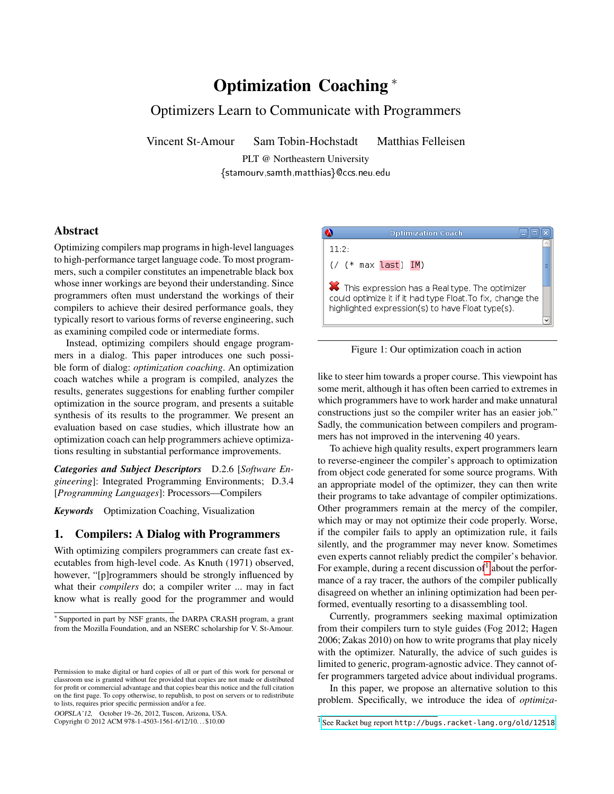# Optimization Coaching <sup>∗</sup>

## Optimizers Learn to Communicate with Programmers

Vincent St-Amour Sam Tobin-Hochstadt Matthias Felleisen

PLT @ Northeastern University {stamourv,samth,matthias}@ccs.neu.edu

## Abstract

Optimizing compilers map programs in high-level languages to high-performance target language code. To most programmers, such a compiler constitutes an impenetrable black box whose inner workings are beyond their understanding. Since programmers often must understand the workings of their compilers to achieve their desired performance goals, they typically resort to various forms of reverse engineering, such as examining compiled code or intermediate forms.

Instead, optimizing compilers should engage programmers in a dialog. This paper introduces one such possible form of dialog: *optimization coaching*. An optimization coach watches while a program is compiled, analyzes the results, generates suggestions for enabling further compiler optimization in the source program, and presents a suitable synthesis of its results to the programmer. We present an evaluation based on case studies, which illustrate how an optimization coach can help programmers achieve optimizations resulting in substantial performance improvements.

*Categories and Subject Descriptors* D.2.6 [*Software Engineering*]: Integrated Programming Environments; D.3.4 [*Programming Languages*]: Processors—Compilers

*Keywords* Optimization Coaching, Visualization

## 1. Compilers: A Dialog with Programmers

With optimizing compilers programmers can create fast executables from high-level code. As Knuth (1971) observed, however, "[p]rogrammers should be strongly influenced by what their *compilers* do; a compiler writer ... may in fact know what is really good for the programmer and would

OOPSLA'12, October 19–26, 2012, Tuscon, Arizona, USA.

Copyright © 2012 ACM 978-1-4503-1561-6/12/10. . . \$10.00



Figure 1: Our optimization coach in action

like to steer him towards a proper course. This viewpoint has some merit, although it has often been carried to extremes in which programmers have to work harder and make unnatural constructions just so the compiler writer has an easier job." Sadly, the communication between compilers and programmers has not improved in the intervening 40 years.

To achieve high quality results, expert programmers learn to reverse-engineer the compiler's approach to optimization from object code generated for some source programs. With an appropriate model of the optimizer, they can then write their programs to take advantage of compiler optimizations. Other programmers remain at the mercy of the compiler, which may or may not optimize their code properly. Worse, if the compiler fails to apply an optimization rule, it fails silently, and the programmer may never know. Sometimes even experts cannot reliably predict the compiler's behavior. For example, during a recent discussion of<sup>[1](#page-0-0)</sup> about the performance of a ray tracer, the authors of the compiler publically disagreed on whether an inlining optimization had been performed, eventually resorting to a disassembling tool.

Currently, programmers seeking maximal optimization from their compilers turn to style guides (Fog 2012; Hagen 2006; Zakas 2010) on how to write programs that play nicely with the optimizer. Naturally, the advice of such guides is limited to generic, program-agnostic advice. They cannot offer programmers targeted advice about individual programs.

In this paper, we propose an alternative solution to this problem. Specifically, we introduce the idea of *optimiza-*

<sup>∗</sup> Supported in part by NSF grants, the DARPA CRASH program, a grant from the Mozilla Foundation, and an NSERC scholarship for V. St-Amour.

Permission to make digital or hard copies of all or part of this work for personal or classroom use is granted without fee provided that copies are not made or distributed for profit or commercial advantage and that copies bear this notice and the full citation on the first page. To copy otherwise, to republish, to post on servers or to redistribute to lists, requires prior specific permission and/or a fee.

<span id="page-0-0"></span><sup>1</sup> See Racket bug report <http://bugs.racket-lang.org/old/12518>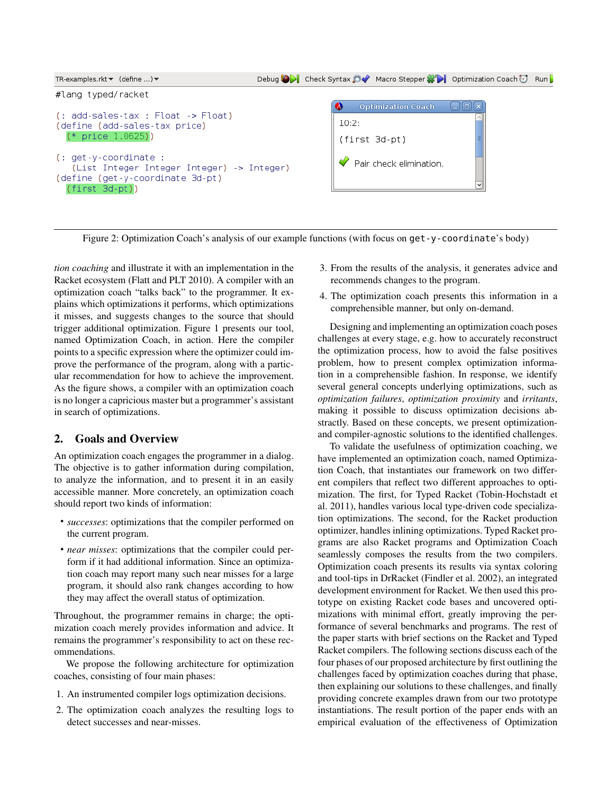| TR-examples.rkt $\blacktriangledown$ (define ) $\blacktriangledown$                                                          |       |                                            | Debug <b>D</b> Check Syntax DV Macro Stepper <b>#"</b> Optimization Coach U Run |  |
|------------------------------------------------------------------------------------------------------------------------------|-------|--------------------------------------------|---------------------------------------------------------------------------------|--|
| #lang typed/racket                                                                                                           |       |                                            |                                                                                 |  |
| (: add-sales-tax : Float -> Float)<br>(define (add-sales-tax price)<br>$(*$ price $1.0625)$ )                                | 10:2: | <b>Optimization Coach</b><br>(first 3d-pt) |                                                                                 |  |
| $(:$ get-y-coordinate :<br>(List Integer Integer Integer) -> Integer)<br>(define (get-y-coordinate 3d-pt)<br>$(first 3d-pt)$ |       | Pair check elimination.                    |                                                                                 |  |

Figure 2: Optimization Coach's analysis of our example functions (with focus on get-y-coordinate's body)

*tion coaching* and illustrate it with an implementation in the Racket ecosystem (Flatt and PLT 2010). A compiler with an optimization coach "talks back" to the programmer. It explains which optimizations it performs, which optimizations it misses, and suggests changes to the source that should trigger additional optimization. Figure 1 presents our tool, named Optimization Coach, in action. Here the compiler points to a specific expression where the optimizer could improve the performance of the program, along with a particular recommendation for how to achieve the improvement. As the figure shows, a compiler with an optimization coach is no longer a capricious master but a programmer's assistant in search of optimizations.

## 2. Goals and Overview

An optimization coach engages the programmer in a dialog. The objective is to gather information during compilation, to analyze the information, and to present it in an easily accessible manner. More concretely, an optimization coach should report two kinds of information:

- *successes*: optimizations that the compiler performed on the current program.
- *near misses*: optimizations that the compiler could perform if it had additional information. Since an optimization coach may report many such near misses for a large program, it should also rank changes according to how they may affect the overall status of optimization.

Throughout, the programmer remains in charge; the optimization coach merely provides information and advice. It remains the programmer's responsibility to act on these recommendations.

We propose the following architecture for optimization coaches, consisting of four main phases:

- 1. An instrumented compiler logs optimization decisions.
- 2. The optimization coach analyzes the resulting logs to detect successes and near-misses.
- 3. From the results of the analysis, it generates advice and recommends changes to the program.
- 4. The optimization coach presents this information in a comprehensible manner, but only on-demand.

Designing and implementing an optimization coach poses challenges at every stage, e.g. how to accurately reconstruct the optimization process, how to avoid the false positives problem, how to present complex optimization information in a comprehensible fashion. In response, we identify several general concepts underlying optimizations, such as *optimization failures*, *optimization proximity* and *irritants*, making it possible to discuss optimization decisions abstractly. Based on these concepts, we present optimizationand compiler-agnostic solutions to the identified challenges.

To validate the usefulness of optimization coaching, we have implemented an optimization coach, named Optimization Coach, that instantiates our framework on two different compilers that reflect two different approaches to optimization. The first, for Typed Racket (Tobin-Hochstadt et al. 2011), handles various local type-driven code specialization optimizations. The second, for the Racket production optimizer, handles inlining optimizations. Typed Racket programs are also Racket programs and Optimization Coach seamlessly composes the results from the two compilers. Optimization coach presents its results via syntax coloring and tool-tips in DrRacket (Findler et al. 2002), an integrated development environment for Racket. We then used this prototype on existing Racket code bases and uncovered optimizations with minimal effort, greatly improving the performance of several benchmarks and programs. The rest of the paper starts with brief sections on the Racket and Typed Racket compilers. The following sections discuss each of the four phases of our proposed architecture by first outlining the challenges faced by optimization coaches during that phase, then explaining our solutions to these challenges, and finally providing concrete examples drawn from our two prototype instantiations. The result portion of the paper ends with an empirical evaluation of the effectiveness of Optimization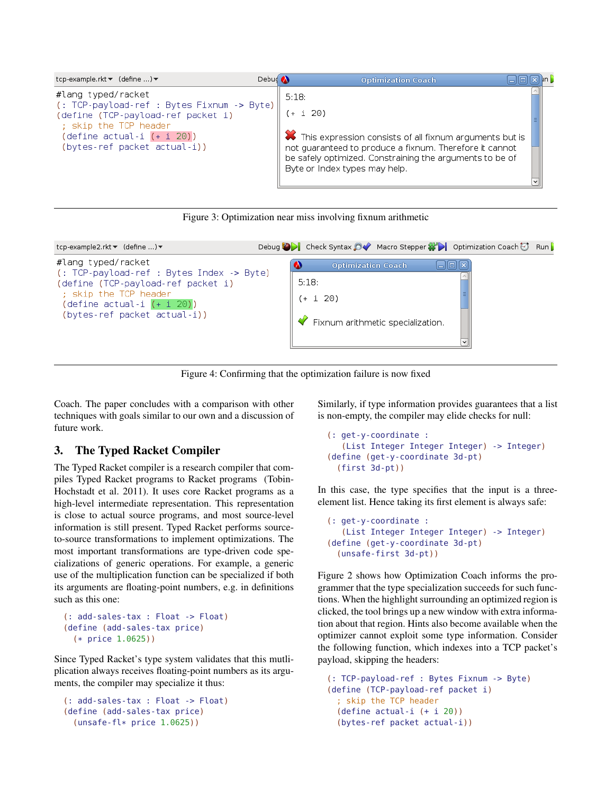| tcp-example.rkt ▼ (define ) ▼                                                                                                                                                                   | Debud A | <b>Optimization Coach</b>                                                                                                                                                                                                       |  |
|-------------------------------------------------------------------------------------------------------------------------------------------------------------------------------------------------|---------|---------------------------------------------------------------------------------------------------------------------------------------------------------------------------------------------------------------------------------|--|
| #lang typed/racket<br>(: TCP-payload-ref : Bytes Fixnum -> Byte)<br>(define (TCP-payload-ref packet i)<br>; skip the TCP header<br>$(detine actual-i (+ i 20))$<br>(bytes-ref packet actual-i)) |         | 5:18:<br>20)<br>This expression consists of all fixnum arguments but is<br>not guaranteed to produce a fixnum. Therefore it cannot<br>be safely optimized. Constraining the arguments to be of<br>Byte or Index types may help. |  |

Figure 3: Optimization near miss involving fixnum arithmetic



Figure 4: Confirming that the optimization failure is now fixed

Coach. The paper concludes with a comparison with other techniques with goals similar to our own and a discussion of future work.

## 3. The Typed Racket Compiler

The Typed Racket compiler is a research compiler that compiles Typed Racket programs to Racket programs (Tobin-Hochstadt et al. 2011). It uses core Racket programs as a high-level intermediate representation. This representation is close to actual source programs, and most source-level information is still present. Typed Racket performs sourceto-source transformations to implement optimizations. The most important transformations are type-driven code specializations of generic operations. For example, a generic use of the multiplication function can be specialized if both its arguments are floating-point numbers, e.g. in definitions such as this one:

```
(: add-sales-tax : Float -> Float)
(define (add-sales-tax price)
  (* price 1.0625))
```
Since Typed Racket's type system validates that this mutliplication always receives floating-point numbers as its arguments, the compiler may specialize it thus:

```
(: add-sales-tax : Float -> Float)
(define (add-sales-tax price)
  (unsafe-fl* price 1.0625))
```
Similarly, if type information provides guarantees that a list is non-empty, the compiler may elide checks for null:

```
(: get-y-coordinate :
   (List Integer Integer Integer) -> Integer)
(define (get-y-coordinate 3d-pt)
  (first 3d-pt))
```
In this case, the type specifies that the input is a threeelement list. Hence taking its first element is always safe:

```
(: get-y-coordinate :
   (List Integer Integer Integer) -> Integer)
(define (get-y-coordinate 3d-pt)
  (unsafe-first 3d-pt))
```
Figure 2 shows how Optimization Coach informs the programmer that the type specialization succeeds for such functions. When the highlight surrounding an optimized region is clicked, the tool brings up a new window with extra information about that region. Hints also become available when the optimizer cannot exploit some type information. Consider the following function, which indexes into a TCP packet's payload, skipping the headers:

```
(: TCP-payload-ref : Bytes Fixnum -> Byte)
(define (TCP-payload-ref packet i)
  ; skip the TCP header
  (define actual-i (+ i 20))
  (bytes-ref packet actual-i))
```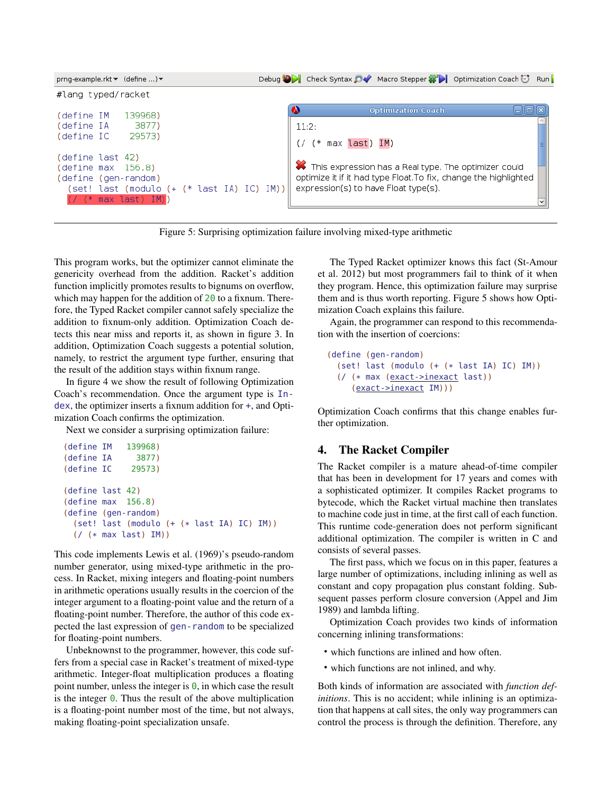| prnq-example.rkt ▼ (define ) ▼                                                                                                                                 |                                            | Debug D   Check Syntax O   Macro Stepper   Optimization Coach O Run                                                                                                                                                                   |
|----------------------------------------------------------------------------------------------------------------------------------------------------------------|--------------------------------------------|---------------------------------------------------------------------------------------------------------------------------------------------------------------------------------------------------------------------------------------|
| #lang typed/racket                                                                                                                                             |                                            |                                                                                                                                                                                                                                       |
| 139968)<br>(define IM<br>3877)<br>(define IA<br>(define IC<br>29573)<br>(define last 42)<br>(detine max 156.8)<br>(define (gen-random)<br>$(* \max last)$ IM)) | (set! last (modulo (+ (* last IA) IC) IM)) | <b>Optimization Coach</b><br>للا الص<br>11:2:<br>(* max last) IM)<br>This expression has a Real type. The optimizer could<br>optimize it if it had type Float. To fix, change the highlighted<br>expression(s) to have Float type(s). |

Figure 5: Surprising optimization failure involving mixed-type arithmetic

This program works, but the optimizer cannot eliminate the genericity overhead from the addition. Racket's addition function implicitly promotes results to bignums on overflow, which may happen for the addition of 20 to a fixnum. Therefore, the Typed Racket compiler cannot safely specialize the addition to fixnum-only addition. Optimization Coach detects this near miss and reports it, as shown in figure 3. In addition, Optimization Coach suggests a potential solution, namely, to restrict the argument type further, ensuring that the result of the addition stays within fixnum range.

In figure 4 we show the result of following Optimization Coach's recommendation. Once the argument type is Index, the optimizer inserts a fixnum addition for +, and Optimization Coach confirms the optimization.

Next we consider a surprising optimization failure:

```
(define IM 139968)
(define IA 3877)
(define IC 29573)
(define last 42)
(define max 156.8)
(define (gen-random)
  (set! last (modulo (+ (* last IA) IC) IM))
  (/ (* max last) IM))
```
This code implements Lewis et al. (1969)'s pseudo-random number generator, using mixed-type arithmetic in the process. In Racket, mixing integers and floating-point numbers in arithmetic operations usually results in the coercion of the integer argument to a floating-point value and the return of a floating-point number. Therefore, the author of this code expected the last expression of gen-random to be specialized for floating-point numbers.

Unbeknownst to the programmer, however, this code suffers from a special case in Racket's treatment of mixed-type arithmetic. Integer-float multiplication produces a floating point number, unless the integer is  $\theta$ , in which case the result is the integer  $\Theta$ . Thus the result of the above multiplication is a floating-point number most of the time, but not always, making floating-point specialization unsafe.

The Typed Racket optimizer knows this fact (St-Amour et al. 2012) but most programmers fail to think of it when they program. Hence, this optimization failure may surprise them and is thus worth reporting. Figure 5 shows how Optimization Coach explains this failure.

Again, the programmer can respond to this recommendation with the insertion of coercions:

```
(define (gen-random)
  (set! last (modulo (+ (* last IA) IC) IM))
  (/ (* max (exact->inexact last))
     (exact->inexact IM)))
```
Optimization Coach confirms that this change enables further optimization.

## 4. The Racket Compiler

The Racket compiler is a mature ahead-of-time compiler that has been in development for 17 years and comes with a sophisticated optimizer. It compiles Racket programs to bytecode, which the Racket virtual machine then translates to machine code just in time, at the first call of each function. This runtime code-generation does not perform significant additional optimization. The compiler is written in C and consists of several passes.

The first pass, which we focus on in this paper, features a large number of optimizations, including inlining as well as constant and copy propagation plus constant folding. Subsequent passes perform closure conversion (Appel and Jim 1989) and lambda lifting.

Optimization Coach provides two kinds of information concerning inlining transformations:

- which functions are inlined and how often.
- which functions are not inlined, and why.

Both kinds of information are associated with *function definitions*. This is no accident; while inlining is an optimization that happens at call sites, the only way programmers can control the process is through the definition. Therefore, any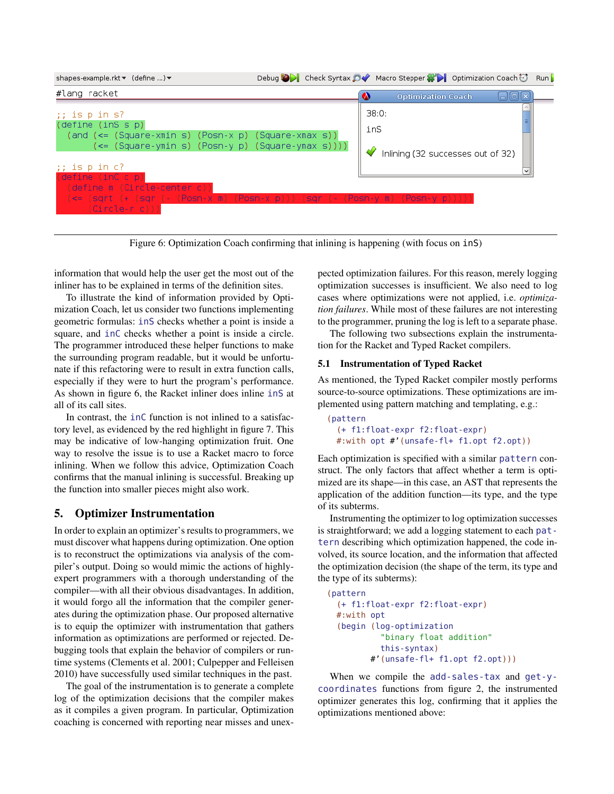| shapes-example.rkt ▼ (define ) ▼                                                                                                                                                          |  |             | Debug $\bigcirc$ Check Syntax $\bigcirc\checkmark$ Macro Stepper $\overset{\leftrightarrow}{\bullet}\bigcirc\checkmark$ Optimization Coach $\heartsuit$ |    | Run |
|-------------------------------------------------------------------------------------------------------------------------------------------------------------------------------------------|--|-------------|---------------------------------------------------------------------------------------------------------------------------------------------------------|----|-----|
| #lang racket                                                                                                                                                                              |  |             | <b>Optimization Coach</b>                                                                                                                               | lo |     |
| $\frac{1}{2}$ ; is p in s?<br>(define (inS s p)<br>(and (<= (Square-xmin s) (Posn-x p) (Square-xmax s))<br>(<= (Square-ymin s) (Posn-y p) (Square-ymax s))))                              |  | 38.0<br>inS | Inlining (32 successes out of 32)                                                                                                                       |    |     |
| $\frac{1}{2}$ ; is p in c?<br>(define (inC c p)<br>(define m (Circle-center c))<br>$(\leq)$ (sqrt (+ (sqr (- (Posn-x m) (Posn-x p))) (sqr (- (Posn-y m) (Posn-y p)))))<br>$(Circle-r c))$ |  |             |                                                                                                                                                         |    |     |

Figure 6: Optimization Coach confirming that inlining is happening (with focus on inS)

information that would help the user get the most out of the inliner has to be explained in terms of the definition sites.

To illustrate the kind of information provided by Optimization Coach, let us consider two functions implementing geometric formulas: inS checks whether a point is inside a square, and inC checks whether a point is inside a circle. The programmer introduced these helper functions to make the surrounding program readable, but it would be unfortunate if this refactoring were to result in extra function calls, especially if they were to hurt the program's performance. As shown in figure 6, the Racket inliner does inline inS at all of its call sites.

In contrast, the inC function is not inlined to a satisfactory level, as evidenced by the red highlight in figure 7. This may be indicative of low-hanging optimization fruit. One way to resolve the issue is to use a Racket macro to force inlining. When we follow this advice, Optimization Coach confirms that the manual inlining is successful. Breaking up the function into smaller pieces might also work.

## 5. Optimizer Instrumentation

In order to explain an optimizer's results to programmers, we must discover what happens during optimization. One option is to reconstruct the optimizations via analysis of the compiler's output. Doing so would mimic the actions of highlyexpert programmers with a thorough understanding of the compiler—with all their obvious disadvantages. In addition, it would forgo all the information that the compiler generates during the optimization phase. Our proposed alternative is to equip the optimizer with instrumentation that gathers information as optimizations are performed or rejected. Debugging tools that explain the behavior of compilers or runtime systems (Clements et al. 2001; Culpepper and Felleisen 2010) have successfully used similar techniques in the past.

The goal of the instrumentation is to generate a complete log of the optimization decisions that the compiler makes as it compiles a given program. In particular, Optimization coaching is concerned with reporting near misses and unexpected optimization failures. For this reason, merely logging optimization successes is insufficient. We also need to log cases where optimizations were not applied, i.e. *optimization failures*. While most of these failures are not interesting to the programmer, pruning the log is left to a separate phase.

The following two subsections explain the instrumentation for the Racket and Typed Racket compilers.

#### 5.1 Instrumentation of Typed Racket

As mentioned, the Typed Racket compiler mostly performs source-to-source optimizations. These optimizations are implemented using pattern matching and templating, e.g.:

```
(pattern
  (+ f1:float-expr f2:float-expr)
 #:with opt #'(unsafe-fl+ f1.opt f2.opt))
```
Each optimization is specified with a similar pattern construct. The only factors that affect whether a term is optimized are its shape—in this case, an AST that represents the application of the addition function—its type, and the type of its subterms.

Instrumenting the optimizer to log optimization successes is straightforward; we add a logging statement to each pattern describing which optimization happened, the code involved, its source location, and the information that affected the optimization decision (the shape of the term, its type and the type of its subterms):

```
(pattern
  (+ f1:float-expr f2:float-expr)
 #:with opt
  (begin (log-optimization
           "binary float addition"
           this-syntax)
         #'(unsafe-fl+ f1.opt f2.opt)))
```
When we compile the add-sales-tax and get-ycoordinates functions from figure 2, the instrumented optimizer generates this log, confirming that it applies the optimizations mentioned above: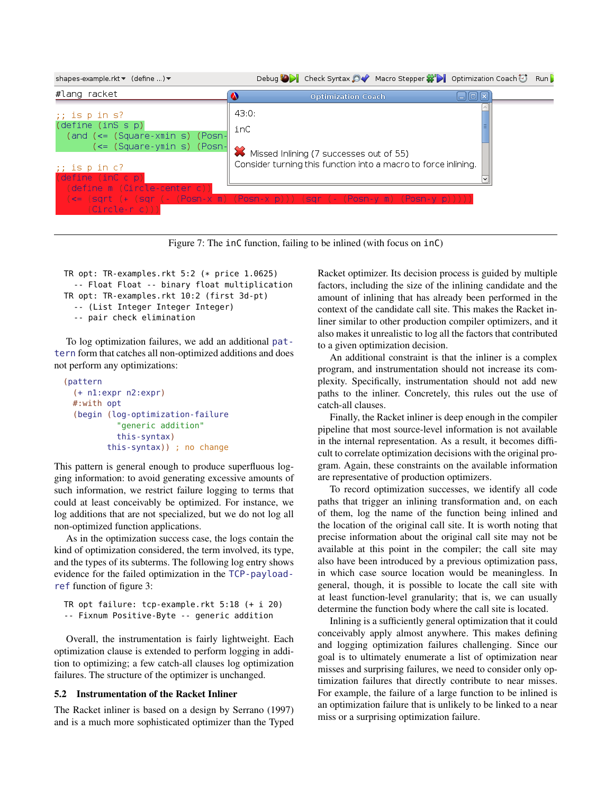| shapes-example.rkt $\blacktriangledown$ (define ) $\blacktriangledown$                                                                                              | Debug D   Check Syntax O / Macro Stepper #D   Optimization Coach + 3                                                      |                        | Run |
|---------------------------------------------------------------------------------------------------------------------------------------------------------------------|---------------------------------------------------------------------------------------------------------------------------|------------------------|-----|
| #lang racket                                                                                                                                                        | <b>Optimization Coach</b>                                                                                                 | $\Box$ $\Box$ $\times$ |     |
| $\frac{1}{2}$ ; is p in s?<br>(define (inS s p)<br>(and (<= (Square-xmin s) (Posn-<br>(<= (Square-ymin s) (Posn-<br>$\frac{1}{2}$ ; is p in c?<br>(define (inC c p) | 43:0:<br>inC<br>Missed Inlining (7 successes out of 55)<br>Consider turning this function into a macro to force inlining. |                        |     |
| $\left($ define $m$ (Circle-center c))<br>$(\leq$ (sqrt (+ (sqr (- (Posn-x m) (Posn-x p))) (sqr (- (Posn-y m) (Posn-y p)))))<br>$(Circle-r c))$                     |                                                                                                                           |                        |     |

Figure 7: The inC function, failing to be inlined (with focus on inC)

```
TR opt: TR-examples.rkt 5:2 (* price 1.0625)
  -- Float Float -- binary float multiplication
TR opt: TR-examples.rkt 10:2 (first 3d-pt)
  -- (List Integer Integer Integer)
  -- pair check elimination
```
To log optimization failures, we add an additional pattern form that catches all non-optimized additions and does not perform any optimizations:

```
(pattern
  (+ n1:expr n2:expr)
 #:with opt
  (begin (log-optimization-failure
           "generic addition"
           this-syntax)
         this-syntax)) ; no change
```
This pattern is general enough to produce superfluous logging information: to avoid generating excessive amounts of such information, we restrict failure logging to terms that could at least conceivably be optimized. For instance, we log additions that are not specialized, but we do not log all non-optimized function applications.

As in the optimization success case, the logs contain the kind of optimization considered, the term involved, its type, and the types of its subterms. The following log entry shows evidence for the failed optimization in the TCP-payloadref function of figure 3:

```
TR opt failure: tcp-example.rkt 5:18 (+ i 20)
-- Fixnum Positive-Byte -- generic addition
```
Overall, the instrumentation is fairly lightweight. Each optimization clause is extended to perform logging in addition to optimizing; a few catch-all clauses log optimization failures. The structure of the optimizer is unchanged.

## 5.2 Instrumentation of the Racket Inliner

The Racket inliner is based on a design by Serrano (1997) and is a much more sophisticated optimizer than the Typed

Racket optimizer. Its decision process is guided by multiple factors, including the size of the inlining candidate and the amount of inlining that has already been performed in the context of the candidate call site. This makes the Racket inliner similar to other production compiler optimizers, and it also makes it unrealistic to log all the factors that contributed to a given optimization decision.

An additional constraint is that the inliner is a complex program, and instrumentation should not increase its complexity. Specifically, instrumentation should not add new paths to the inliner. Concretely, this rules out the use of catch-all clauses.

Finally, the Racket inliner is deep enough in the compiler pipeline that most source-level information is not available in the internal representation. As a result, it becomes difficult to correlate optimization decisions with the original program. Again, these constraints on the available information are representative of production optimizers.

To record optimization successes, we identify all code paths that trigger an inlining transformation and, on each of them, log the name of the function being inlined and the location of the original call site. It is worth noting that precise information about the original call site may not be available at this point in the compiler; the call site may also have been introduced by a previous optimization pass, in which case source location would be meaningless. In general, though, it is possible to locate the call site with at least function-level granularity; that is, we can usually determine the function body where the call site is located.

Inlining is a sufficiently general optimization that it could conceivably apply almost anywhere. This makes defining and logging optimization failures challenging. Since our goal is to ultimately enumerate a list of optimization near misses and surprising failures, we need to consider only optimization failures that directly contribute to near misses. For example, the failure of a large function to be inlined is an optimization failure that is unlikely to be linked to a near miss or a surprising optimization failure.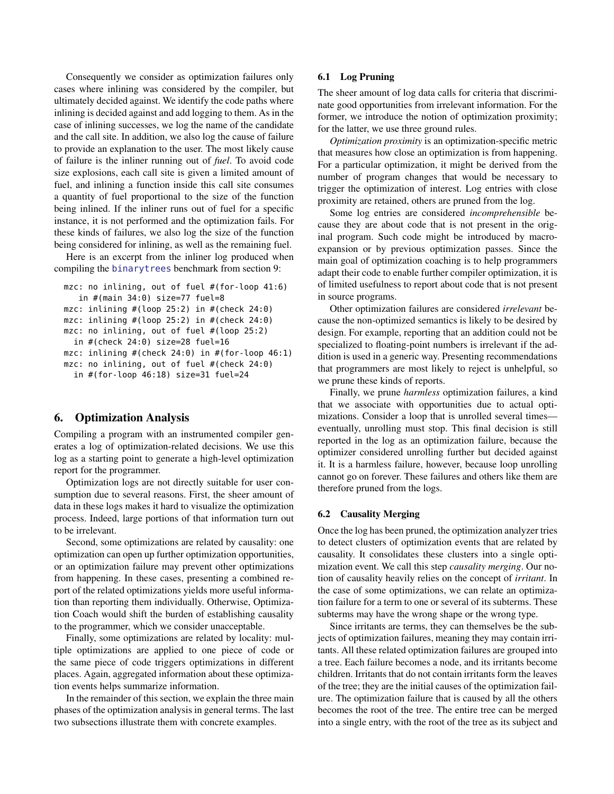Consequently we consider as optimization failures only cases where inlining was considered by the compiler, but ultimately decided against. We identify the code paths where inlining is decided against and add logging to them. As in the case of inlining successes, we log the name of the candidate and the call site. In addition, we also log the cause of failure to provide an explanation to the user. The most likely cause of failure is the inliner running out of *fuel*. To avoid code size explosions, each call site is given a limited amount of fuel, and inlining a function inside this call site consumes a quantity of fuel proportional to the size of the function being inlined. If the inliner runs out of fuel for a specific instance, it is not performed and the optimization fails. For these kinds of failures, we also log the size of the function being considered for inlining, as well as the remaining fuel.

Here is an excerpt from the inliner log produced when compiling the binarytrees benchmark from section 9:

```
mzc: no inlining, out of fuel #(for-loop 41:6)
  in #(main 34:0) size=77 fuel=8
mzc: inlining #(loop 25:2) in #(check 24:0)
mzc: inlining #(loop 25:2) in #(check 24:0)mzc: no inlining, out of fuel #(loop 25:2)
  in #(check 24:0) size=28 fuel=16
mzc: inlining #(check 24:0) in #(for-loop 46:1)
mzc: no inlining, out of fuel #(check 24:0)
  in #(for-loop 46:18) size=31 fuel=24
```
## 6. Optimization Analysis

Compiling a program with an instrumented compiler generates a log of optimization-related decisions. We use this log as a starting point to generate a high-level optimization report for the programmer.

Optimization logs are not directly suitable for user consumption due to several reasons. First, the sheer amount of data in these logs makes it hard to visualize the optimization process. Indeed, large portions of that information turn out to be irrelevant.

Second, some optimizations are related by causality: one optimization can open up further optimization opportunities, or an optimization failure may prevent other optimizations from happening. In these cases, presenting a combined report of the related optimizations yields more useful information than reporting them individually. Otherwise, Optimization Coach would shift the burden of establishing causality to the programmer, which we consider unacceptable.

Finally, some optimizations are related by locality: multiple optimizations are applied to one piece of code or the same piece of code triggers optimizations in different places. Again, aggregated information about these optimization events helps summarize information.

In the remainder of this section, we explain the three main phases of the optimization analysis in general terms. The last two subsections illustrate them with concrete examples.

### 6.1 Log Pruning

The sheer amount of log data calls for criteria that discriminate good opportunities from irrelevant information. For the former, we introduce the notion of optimization proximity; for the latter, we use three ground rules.

*Optimization proximity* is an optimization-specific metric that measures how close an optimization is from happening. For a particular optimization, it might be derived from the number of program changes that would be necessary to trigger the optimization of interest. Log entries with close proximity are retained, others are pruned from the log.

Some log entries are considered *incomprehensible* because they are about code that is not present in the original program. Such code might be introduced by macroexpansion or by previous optimization passes. Since the main goal of optimization coaching is to help programmers adapt their code to enable further compiler optimization, it is of limited usefulness to report about code that is not present in source programs.

Other optimization failures are considered *irrelevant* because the non-optimized semantics is likely to be desired by design. For example, reporting that an addition could not be specialized to floating-point numbers is irrelevant if the addition is used in a generic way. Presenting recommendations that programmers are most likely to reject is unhelpful, so we prune these kinds of reports.

Finally, we prune *harmless* optimization failures, a kind that we associate with opportunities due to actual optimizations. Consider a loop that is unrolled several times eventually, unrolling must stop. This final decision is still reported in the log as an optimization failure, because the optimizer considered unrolling further but decided against it. It is a harmless failure, however, because loop unrolling cannot go on forever. These failures and others like them are therefore pruned from the logs.

#### 6.2 Causality Merging

Once the log has been pruned, the optimization analyzer tries to detect clusters of optimization events that are related by causality. It consolidates these clusters into a single optimization event. We call this step *causality merging*. Our notion of causality heavily relies on the concept of *irritant*. In the case of some optimizations, we can relate an optimization failure for a term to one or several of its subterms. These subterms may have the wrong shape or the wrong type.

Since irritants are terms, they can themselves be the subjects of optimization failures, meaning they may contain irritants. All these related optimization failures are grouped into a tree. Each failure becomes a node, and its irritants become children. Irritants that do not contain irritants form the leaves of the tree; they are the initial causes of the optimization failure. The optimization failure that is caused by all the others becomes the root of the tree. The entire tree can be merged into a single entry, with the root of the tree as its subject and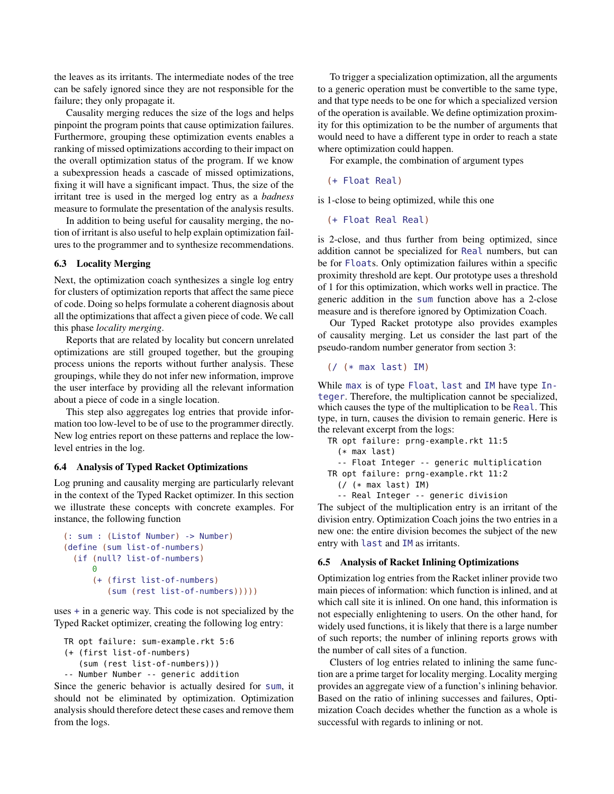the leaves as its irritants. The intermediate nodes of the tree can be safely ignored since they are not responsible for the failure; they only propagate it.

Causality merging reduces the size of the logs and helps pinpoint the program points that cause optimization failures. Furthermore, grouping these optimization events enables a ranking of missed optimizations according to their impact on the overall optimization status of the program. If we know a subexpression heads a cascade of missed optimizations, fixing it will have a significant impact. Thus, the size of the irritant tree is used in the merged log entry as a *badness* measure to formulate the presentation of the analysis results.

In addition to being useful for causality merging, the notion of irritant is also useful to help explain optimization failures to the programmer and to synthesize recommendations.

#### 6.3 Locality Merging

Next, the optimization coach synthesizes a single log entry for clusters of optimization reports that affect the same piece of code. Doing so helps formulate a coherent diagnosis about all the optimizations that affect a given piece of code. We call this phase *locality merging*.

Reports that are related by locality but concern unrelated optimizations are still grouped together, but the grouping process unions the reports without further analysis. These groupings, while they do not infer new information, improve the user interface by providing all the relevant information about a piece of code in a single location.

This step also aggregates log entries that provide information too low-level to be of use to the programmer directly. New log entries report on these patterns and replace the lowlevel entries in the log.

#### 6.4 Analysis of Typed Racket Optimizations

Log pruning and causality merging are particularly relevant in the context of the Typed Racket optimizer. In this section we illustrate these concepts with concrete examples. For instance, the following function

```
(: sum : (Listof Number) -> Number)
(define (sum list-of-numbers)
  (if (null? list-of-numbers)
      \Theta(+ (first list-of-numbers)
         (sum (rest list-of-numbers)))))
```
uses + in a generic way. This code is not specialized by the Typed Racket optimizer, creating the following log entry:

```
TR opt failure: sum-example.rkt 5:6
(+ (first list-of-numbers)
```

```
(sum (rest list-of-numbers)))
```

```
-- Number Number -- generic addition
```
Since the generic behavior is actually desired for sum, it should not be eliminated by optimization. Optimization analysis should therefore detect these cases and remove them from the logs.

To trigger a specialization optimization, all the arguments to a generic operation must be convertible to the same type, and that type needs to be one for which a specialized version of the operation is available. We define optimization proximity for this optimization to be the number of arguments that would need to have a different type in order to reach a state where optimization could happen.

For example, the combination of argument types

(+ Float Real)

is 1-close to being optimized, while this one

```
(+ Float Real Real)
```
is 2-close, and thus further from being optimized, since addition cannot be specialized for Real numbers, but can be for Floats. Only optimization failures within a specific proximity threshold are kept. Our prototype uses a threshold of 1 for this optimization, which works well in practice. The generic addition in the sum function above has a 2-close measure and is therefore ignored by Optimization Coach.

Our Typed Racket prototype also provides examples of causality merging. Let us consider the last part of the pseudo-random number generator from section 3:

```
\left(\frac{\ }{}\right) (* max last) IM)
```
While max is of type Float, last and IM have type Integer. Therefore, the multiplication cannot be specialized, which causes the type of the multiplication to be Real. This type, in turn, causes the division to remain generic. Here is the relevant excerpt from the logs:

```
TR opt failure: prng-example.rkt 11:5
  (* max last)
```
- -- Float Integer -- generic multiplication
- TR opt failure: prng-example.rkt 11:2
	- (/ (\* max last) IM)
	- -- Real Integer -- generic division

The subject of the multiplication entry is an irritant of the division entry. Optimization Coach joins the two entries in a new one: the entire division becomes the subject of the new entry with last and IM as irritants.

#### 6.5 Analysis of Racket Inlining Optimizations

Optimization log entries from the Racket inliner provide two main pieces of information: which function is inlined, and at which call site it is inlined. On one hand, this information is not especially enlightening to users. On the other hand, for widely used functions, it is likely that there is a large number of such reports; the number of inlining reports grows with the number of call sites of a function.

Clusters of log entries related to inlining the same function are a prime target for locality merging. Locality merging provides an aggregate view of a function's inlining behavior. Based on the ratio of inlining successes and failures, Optimization Coach decides whether the function as a whole is successful with regards to inlining or not.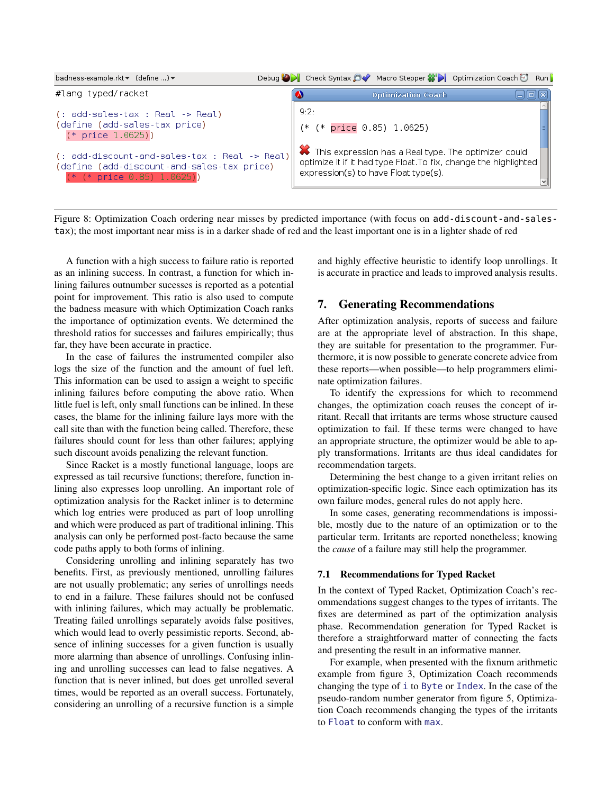| badness-example.rkt ▼ (define ) ▼                                                                                                                                                                                      |   |                                                                             |                           | Debug DD Check Syntax DV Macro Stepper ( Optimization Coach + Run                                                        |  |
|------------------------------------------------------------------------------------------------------------------------------------------------------------------------------------------------------------------------|---|-----------------------------------------------------------------------------|---------------------------|--------------------------------------------------------------------------------------------------------------------------|--|
| #lang typed/racket                                                                                                                                                                                                     | W |                                                                             | <b>Optimization Coach</b> |                                                                                                                          |  |
| (: add-sales-tax : Real -> Real)<br>(define (add-sales-tax price)<br>(* price 1.0625))<br>(: add-discount-and-sales-tax : Real -> Real)<br>(define (add-discount-and-sales-tax price)<br>$(*$ (* price 0.85) $1.0625)$ |   | 9.2.<br>$(*$ (* price 0.85) 1.0625)<br>expression(s) to have Float type(s). |                           | This expression has a Real type. The optimizer could<br>optimize it if it had type Float. To fix, change the highlighted |  |

Figure 8: Optimization Coach ordering near misses by predicted importance (with focus on add-discount-and-salestax); the most important near miss is in a darker shade of red and the least important one is in a lighter shade of red

A function with a high success to failure ratio is reported as an inlining success. In contrast, a function for which inlining failures outnumber sucesses is reported as a potential point for improvement. This ratio is also used to compute the badness measure with which Optimization Coach ranks the importance of optimization events. We determined the threshold ratios for successes and failures empirically; thus far, they have been accurate in practice.

In the case of failures the instrumented compiler also logs the size of the function and the amount of fuel left. This information can be used to assign a weight to specific inlining failures before computing the above ratio. When little fuel is left, only small functions can be inlined. In these cases, the blame for the inlining failure lays more with the call site than with the function being called. Therefore, these failures should count for less than other failures; applying such discount avoids penalizing the relevant function.

Since Racket is a mostly functional language, loops are expressed as tail recursive functions; therefore, function inlining also expresses loop unrolling. An important role of optimization analysis for the Racket inliner is to determine which log entries were produced as part of loop unrolling and which were produced as part of traditional inlining. This analysis can only be performed post-facto because the same code paths apply to both forms of inlining.

Considering unrolling and inlining separately has two benefits. First, as previously mentioned, unrolling failures are not usually problematic; any series of unrollings needs to end in a failure. These failures should not be confused with inlining failures, which may actually be problematic. Treating failed unrollings separately avoids false positives, which would lead to overly pessimistic reports. Second, absence of inlining successes for a given function is usually more alarming than absence of unrollings. Confusing inlining and unrolling successes can lead to false negatives. A function that is never inlined, but does get unrolled several times, would be reported as an overall success. Fortunately, considering an unrolling of a recursive function is a simple

and highly effective heuristic to identify loop unrollings. It is accurate in practice and leads to improved analysis results.

## 7. Generating Recommendations

After optimization analysis, reports of success and failure are at the appropriate level of abstraction. In this shape, they are suitable for presentation to the programmer. Furthermore, it is now possible to generate concrete advice from these reports—when possible—to help programmers eliminate optimization failures.

To identify the expressions for which to recommend changes, the optimization coach reuses the concept of irritant. Recall that irritants are terms whose structure caused optimization to fail. If these terms were changed to have an appropriate structure, the optimizer would be able to apply transformations. Irritants are thus ideal candidates for recommendation targets.

Determining the best change to a given irritant relies on optimization-specific logic. Since each optimization has its own failure modes, general rules do not apply here.

In some cases, generating recommendations is impossible, mostly due to the nature of an optimization or to the particular term. Irritants are reported nonetheless; knowing the *cause* of a failure may still help the programmer.

#### 7.1 Recommendations for Typed Racket

In the context of Typed Racket, Optimization Coach's recommendations suggest changes to the types of irritants. The fixes are determined as part of the optimization analysis phase. Recommendation generation for Typed Racket is therefore a straightforward matter of connecting the facts and presenting the result in an informative manner.

For example, when presented with the fixnum arithmetic example from figure 3, Optimization Coach recommends changing the type of i to Byte or Index. In the case of the pseudo-random number generator from figure 5, Optimization Coach recommends changing the types of the irritants to Float to conform with max.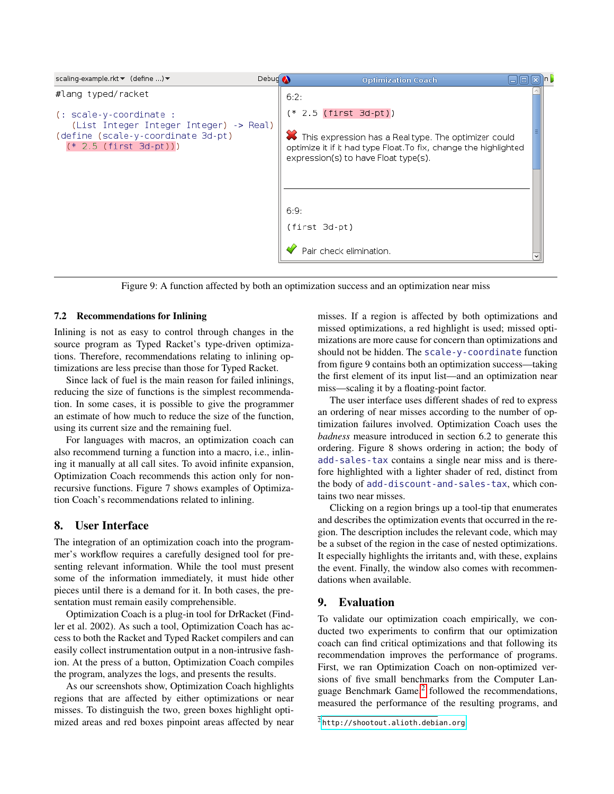| Debug A<br>scaling-example.rkt ▼ (define ) ▼                                                              | <b>Optimization Coach</b><br>نها اها                                                                                                                             | $\boxtimes$ in L |
|-----------------------------------------------------------------------------------------------------------|------------------------------------------------------------------------------------------------------------------------------------------------------------------|------------------|
| #lang typed/racket                                                                                        | 6:2:                                                                                                                                                             |                  |
| $(:$ scale-y-coordinate :                                                                                 | $(* 2.5 (first 3d-pt))$                                                                                                                                          |                  |
| (List Integer Integer Integer) -> Real)<br>(define (scale-y-coordinate 3d-pt)<br>$(* 2.5 (first 3d-pt)))$ | This expression has a Real type. The optimizer could<br>optimize it if it had type Float. To fix, change the highlighted<br>expression(s) to have Float type(s). |                  |
|                                                                                                           | 6:9:                                                                                                                                                             |                  |
|                                                                                                           | (first 3d-pt)                                                                                                                                                    |                  |
|                                                                                                           | Pair check elimination.                                                                                                                                          |                  |

Figure 9: A function affected by both an optimization success and an optimization near miss

#### 7.2 Recommendations for Inlining

Inlining is not as easy to control through changes in the source program as Typed Racket's type-driven optimizations. Therefore, recommendations relating to inlining optimizations are less precise than those for Typed Racket.

Since lack of fuel is the main reason for failed inlinings, reducing the size of functions is the simplest recommendation. In some cases, it is possible to give the programmer an estimate of how much to reduce the size of the function, using its current size and the remaining fuel.

For languages with macros, an optimization coach can also recommend turning a function into a macro, i.e., inlining it manually at all call sites. To avoid infinite expansion, Optimization Coach recommends this action only for nonrecursive functions. Figure 7 shows examples of Optimization Coach's recommendations related to inlining.

## 8. User Interface

The integration of an optimization coach into the programmer's workflow requires a carefully designed tool for presenting relevant information. While the tool must present some of the information immediately, it must hide other pieces until there is a demand for it. In both cases, the presentation must remain easily comprehensible.

Optimization Coach is a plug-in tool for DrRacket (Findler et al. 2002). As such a tool, Optimization Coach has access to both the Racket and Typed Racket compilers and can easily collect instrumentation output in a non-intrusive fashion. At the press of a button, Optimization Coach compiles the program, analyzes the logs, and presents the results.

As our screenshots show, Optimization Coach highlights regions that are affected by either optimizations or near misses. To distinguish the two, green boxes highlight optimized areas and red boxes pinpoint areas affected by near

misses. If a region is affected by both optimizations and missed optimizations, a red highlight is used; missed optimizations are more cause for concern than optimizations and should not be hidden. The scale-y-coordinate function from figure 9 contains both an optimization success—taking the first element of its input list—and an optimization near miss—scaling it by a floating-point factor.

The user interface uses different shades of red to express an ordering of near misses according to the number of optimization failures involved. Optimization Coach uses the *badness* measure introduced in section 6.2 to generate this ordering. Figure 8 shows ordering in action; the body of add-sales-tax contains a single near miss and is therefore highlighted with a lighter shader of red, distinct from the body of add-discount-and-sales-tax, which contains two near misses.

Clicking on a region brings up a tool-tip that enumerates and describes the optimization events that occurred in the region. The description includes the relevant code, which may be a subset of the region in the case of nested optimizations. It especially highlights the irritants and, with these, explains the event. Finally, the window also comes with recommendations when available.

## 9. Evaluation

To validate our optimization coach empirically, we conducted two experiments to confirm that our optimization coach can find critical optimizations and that following its recommendation improves the performance of programs. First, we ran Optimization Coach on non-optimized versions of five small benchmarks from the Computer Language Benchmark Game, $2$  followed the recommendations, measured the performance of the resulting programs, and

<span id="page-9-0"></span><sup>2</sup> <http://shootout.alioth.debian.org>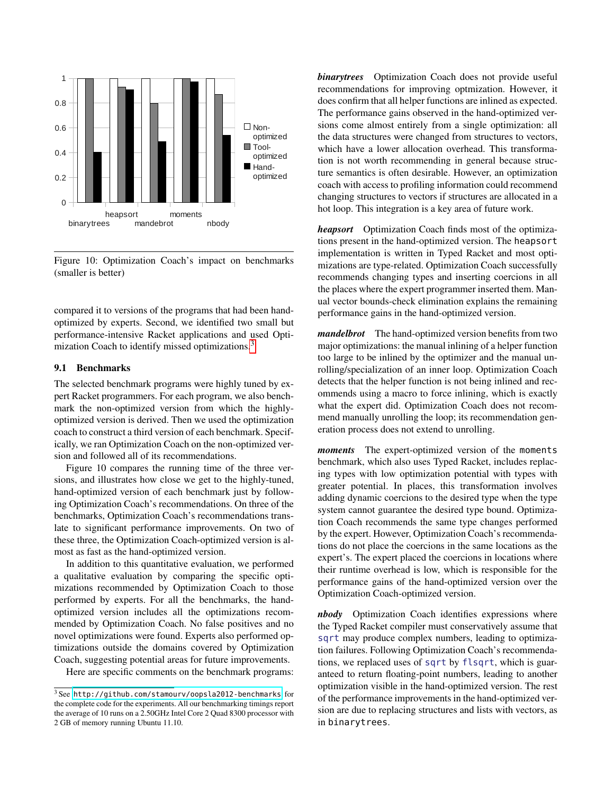

Figure 10: Optimization Coach's impact on benchmarks (smaller is better)

compared it to versions of the programs that had been handoptimized by experts. Second, we identified two small but performance-intensive Racket applications and used Optimization Coach to identify missed optimizations.[3](#page-10-0)

#### 9.1 Benchmarks

The selected benchmark programs were highly tuned by expert Racket programmers. For each program, we also benchmark the non-optimized version from which the highlyoptimized version is derived. Then we used the optimization coach to construct a third version of each benchmark. Specifically, we ran Optimization Coach on the non-optimized version and followed all of its recommendations.

Figure 10 compares the running time of the three versions, and illustrates how close we get to the highly-tuned, hand-optimized version of each benchmark just by following Optimization Coach's recommendations. On three of the benchmarks, Optimization Coach's recommendations translate to significant performance improvements. On two of these three, the Optimization Coach-optimized version is almost as fast as the hand-optimized version.

In addition to this quantitative evaluation, we performed a qualitative evaluation by comparing the specific optimizations recommended by Optimization Coach to those performed by experts. For all the benchmarks, the handoptimized version includes all the optimizations recommended by Optimization Coach. No false positives and no novel optimizations were found. Experts also performed optimizations outside the domains covered by Optimization Coach, suggesting potential areas for future improvements.

Here are specific comments on the benchmark programs:

*binarytrees* Optimization Coach does not provide useful recommendations for improving optmization. However, it does confirm that all helper functions are inlined as expected. The performance gains observed in the hand-optimized versions come almost entirely from a single optimization: all the data structures were changed from structures to vectors, which have a lower allocation overhead. This transformation is not worth recommending in general because structure semantics is often desirable. However, an optimization coach with access to profiling information could recommend changing structures to vectors if structures are allocated in a hot loop. This integration is a key area of future work.

*heapsort* Optimization Coach finds most of the optimizations present in the hand-optimized version. The heapsort implementation is written in Typed Racket and most optimizations are type-related. Optimization Coach successfully recommends changing types and inserting coercions in all the places where the expert programmer inserted them. Manual vector bounds-check elimination explains the remaining performance gains in the hand-optimized version.

*mandelbrot* The hand-optimized version benefits from two major optimizations: the manual inlining of a helper function too large to be inlined by the optimizer and the manual unrolling/specialization of an inner loop. Optimization Coach detects that the helper function is not being inlined and recommends using a macro to force inlining, which is exactly what the expert did. Optimization Coach does not recommend manually unrolling the loop; its recommendation generation process does not extend to unrolling.

*moments* The expert-optimized version of the moments benchmark, which also uses Typed Racket, includes replacing types with low optimization potential with types with greater potential. In places, this transformation involves adding dynamic coercions to the desired type when the type system cannot guarantee the desired type bound. Optimization Coach recommends the same type changes performed by the expert. However, Optimization Coach's recommendations do not place the coercions in the same locations as the expert's. The expert placed the coercions in locations where their runtime overhead is low, which is responsible for the performance gains of the hand-optimized version over the Optimization Coach-optimized version.

*nbody* Optimization Coach identifies expressions where the Typed Racket compiler must conservatively assume that sqrt may produce complex numbers, leading to optimization failures. Following Optimization Coach's recommendations, we replaced uses of sqrt by flsqrt, which is guaranteed to return floating-point numbers, leading to another optimization visible in the hand-optimized version. The rest of the performance improvements in the hand-optimized version are due to replacing structures and lists with vectors, as in binarytrees.

<span id="page-10-0"></span><sup>3</sup> See [http://github.com/stamourv/oopsla2012-benchmarks](https://github.com/stamourv/oopsla2012-benchmarks) for the complete code for the experiments. All our benchmarking timings report the average of 10 runs on a 2.50GHz Intel Core 2 Quad 8300 processor with 2 GB of memory running Ubuntu 11.10.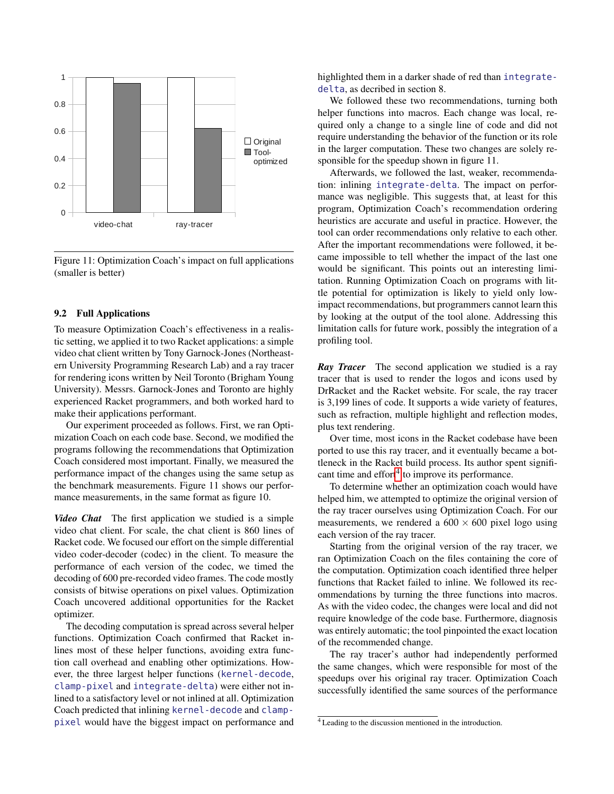

Figure 11: Optimization Coach's impact on full applications (smaller is better)

## 9.2 Full Applications

To measure Optimization Coach's effectiveness in a realistic setting, we applied it to two Racket applications: a simple video chat client written by Tony Garnock-Jones (Northeastern University Programming Research Lab) and a ray tracer for rendering icons written by Neil Toronto (Brigham Young University). Messrs. Garnock-Jones and Toronto are highly experienced Racket programmers, and both worked hard to make their applications performant.

Our experiment proceeded as follows. First, we ran Optimization Coach on each code base. Second, we modified the programs following the recommendations that Optimization Coach considered most important. Finally, we measured the performance impact of the changes using the same setup as the benchmark measurements. Figure 11 shows our performance measurements, in the same format as figure 10.

*Video Chat* The first application we studied is a simple video chat client. For scale, the chat client is 860 lines of Racket code. We focused our effort on the simple differential video coder-decoder (codec) in the client. To measure the performance of each version of the codec, we timed the decoding of 600 pre-recorded video frames. The code mostly consists of bitwise operations on pixel values. Optimization Coach uncovered additional opportunities for the Racket optimizer.

The decoding computation is spread across several helper functions. Optimization Coach confirmed that Racket inlines most of these helper functions, avoiding extra function call overhead and enabling other optimizations. However, the three largest helper functions (kernel-decode, clamp-pixel and integrate-delta) were either not inlined to a satisfactory level or not inlined at all. Optimization Coach predicted that inlining kernel-decode and clamppixel would have the biggest impact on performance and

highlighted them in a darker shade of red than integratedelta, as decribed in section 8.

We followed these two recommendations, turning both helper functions into macros. Each change was local, required only a change to a single line of code and did not require understanding the behavior of the function or its role in the larger computation. These two changes are solely responsible for the speedup shown in figure 11.

Afterwards, we followed the last, weaker, recommendation: inlining integrate-delta. The impact on performance was negligible. This suggests that, at least for this program, Optimization Coach's recommendation ordering heuristics are accurate and useful in practice. However, the tool can order recommendations only relative to each other. After the important recommendations were followed, it became impossible to tell whether the impact of the last one would be significant. This points out an interesting limitation. Running Optimization Coach on programs with little potential for optimization is likely to yield only lowimpact recommendations, but programmers cannot learn this by looking at the output of the tool alone. Addressing this limitation calls for future work, possibly the integration of a profiling tool.

*Ray Tracer* The second application we studied is a ray tracer that is used to render the logos and icons used by DrRacket and the Racket website. For scale, the ray tracer is 3,199 lines of code. It supports a wide variety of features, such as refraction, multiple highlight and reflection modes, plus text rendering.

Over time, most icons in the Racket codebase have been ported to use this ray tracer, and it eventually became a bottleneck in the Racket build process. Its author spent signifi-cant time and effort<sup>[4](#page-11-0)</sup> to improve its performance.

To determine whether an optimization coach would have helped him, we attempted to optimize the original version of the ray tracer ourselves using Optimization Coach. For our measurements, we rendered a  $600 \times 600$  pixel logo using each version of the ray tracer.

Starting from the original version of the ray tracer, we ran Optimization Coach on the files containing the core of the computation. Optimization coach identified three helper functions that Racket failed to inline. We followed its recommendations by turning the three functions into macros. As with the video codec, the changes were local and did not require knowledge of the code base. Furthermore, diagnosis was entirely automatic; the tool pinpointed the exact location of the recommended change.

The ray tracer's author had independently performed the same changes, which were responsible for most of the speedups over his original ray tracer. Optimization Coach successfully identified the same sources of the performance

<span id="page-11-0"></span><sup>4</sup> Leading to the discussion mentioned in the introduction.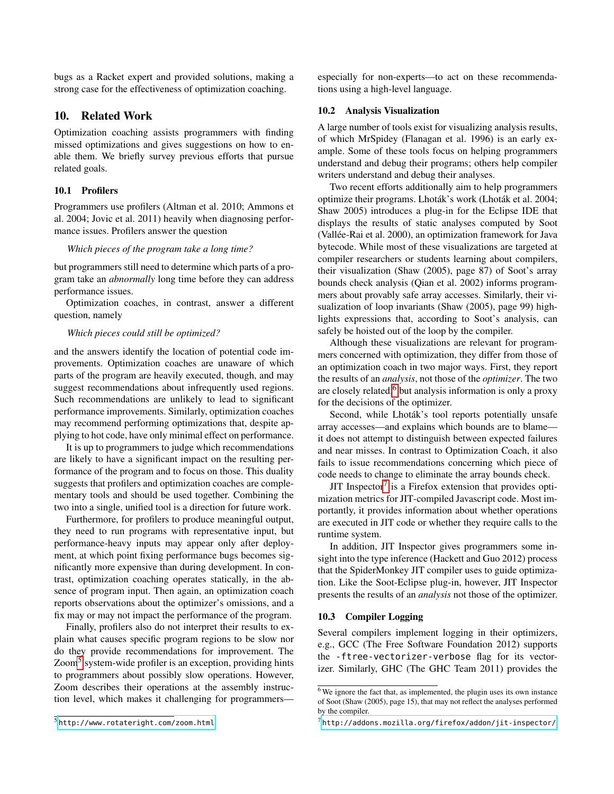bugs as a Racket expert and provided solutions, making a strong case for the effectiveness of optimization coaching.

## 10. Related Work

Optimization coaching assists programmers with finding missed optimizations and gives suggestions on how to enable them. We briefly survey previous efforts that pursue related goals.

#### 10.1 Profilers

Programmers use profilers (Altman et al. 2010; Ammons et al. 2004; Jovic et al. 2011) heavily when diagnosing performance issues. Profilers answer the question

#### *Which pieces of the program take a long time?*

but programmers still need to determine which parts of a program take an *abnormally* long time before they can address performance issues.

Optimization coaches, in contrast, answer a different question, namely

#### *Which pieces could still be optimized?*

and the answers identify the location of potential code improvements. Optimization coaches are unaware of which parts of the program are heavily executed, though, and may suggest recommendations about infrequently used regions. Such recommendations are unlikely to lead to significant performance improvements. Similarly, optimization coaches may recommend performing optimizations that, despite applying to hot code, have only minimal effect on performance.

It is up to programmers to judge which recommendations are likely to have a significant impact on the resulting performance of the program and to focus on those. This duality suggests that profilers and optimization coaches are complementary tools and should be used together. Combining the two into a single, unified tool is a direction for future work.

Furthermore, for profilers to produce meaningful output, they need to run programs with representative input, but performance-heavy inputs may appear only after deployment, at which point fixing performance bugs becomes significantly more expensive than during development. In contrast, optimization coaching operates statically, in the absence of program input. Then again, an optimization coach reports observations about the optimizer's omissions, and a fix may or may not impact the performance of the program.

Finally, profilers also do not interpret their results to explain what causes specific program regions to be slow nor do they provide recommendations for improvement. The Zoom<sup>[5](#page-12-0)</sup> system-wide profiler is an exception, providing hints to programmers about possibly slow operations. However, Zoom describes their operations at the assembly instruction level, which makes it challenging for programmersespecially for non-experts—to act on these recommendations using a high-level language.

#### 10.2 Analysis Visualization

A large number of tools exist for visualizing analysis results, of which MrSpidey (Flanagan et al. 1996) is an early example. Some of these tools focus on helping programmers understand and debug their programs; others help compiler writers understand and debug their analyses.

Two recent efforts additionally aim to help programmers optimize their programs. Lhoták's work (Lhoták et al. 2004; Shaw 2005) introduces a plug-in for the Eclipse IDE that displays the results of static analyses computed by Soot (Vallée-Rai et al. 2000), an optimization framework for Java bytecode. While most of these visualizations are targeted at compiler researchers or students learning about compilers, their visualization (Shaw (2005), page 87) of Soot's array bounds check analysis (Qian et al. 2002) informs programmers about provably safe array accesses. Similarly, their visualization of loop invariants (Shaw (2005), page 99) highlights expressions that, according to Soot's analysis, can safely be hoisted out of the loop by the compiler.

Although these visualizations are relevant for programmers concerned with optimization, they differ from those of an optimization coach in two major ways. First, they report the results of an *analysis*, not those of the *optimizer*. The two are closely related, $6$  but analysis information is only a proxy for the decisions of the optimizer.

Second, while Lhoták's tool reports potentially unsafe array accesses—and explains which bounds are to blame it does not attempt to distinguish between expected failures and near misses. In contrast to Optimization Coach, it also fails to issue recommendations concerning which piece of code needs to change to eliminate the array bounds check.

JIT Inspector<sup>[7](#page-12-2)</sup> is a Firefox extension that provides optimization metrics for JIT-compiled Javascript code. Most importantly, it provides information about whether operations are executed in JIT code or whether they require calls to the runtime system.

In addition, JIT Inspector gives programmers some insight into the type inference (Hackett and Guo 2012) process that the SpiderMonkey JIT compiler uses to guide optimization. Like the Soot-Eclipse plug-in, however, JIT Inspector presents the results of an *analysis* not those of the optimizer.

#### 10.3 Compiler Logging

Several compilers implement logging in their optimizers, e.g., GCC (The Free Software Foundation 2012) supports the -ftree-vectorizer-verbose flag for its vectorizer. Similarly, GHC (The GHC Team 2011) provides the

<span id="page-12-0"></span><sup>5</sup> <http://www.rotateright.com/zoom.html>

<span id="page-12-1"></span><sup>&</sup>lt;sup>6</sup> We ignore the fact that, as implemented, the plugin uses its own instance of Soot (Shaw (2005), page 15), that may not reflect the analyses performed by the compiler.

<span id="page-12-2"></span> $7$ [http://addons.mozilla.org/firefox/addon/jit-inspector/](https://addons.mozilla.org/firefox/addon/jit-inspector/)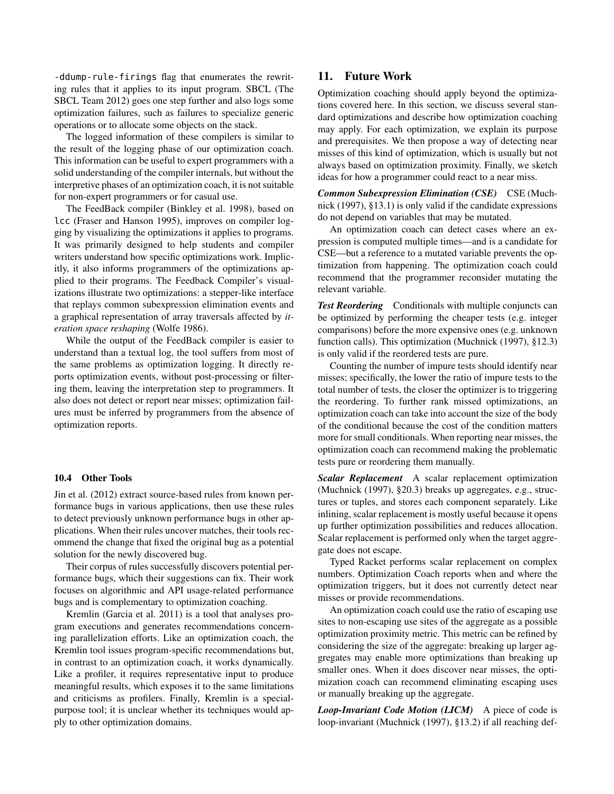-ddump-rule-firings flag that enumerates the rewriting rules that it applies to its input program. SBCL (The SBCL Team 2012) goes one step further and also logs some optimization failures, such as failures to specialize generic operations or to allocate some objects on the stack.

The logged information of these compilers is similar to the result of the logging phase of our optimization coach. This information can be useful to expert programmers with a solid understanding of the compiler internals, but without the interpretive phases of an optimization coach, it is not suitable for non-expert programmers or for casual use.

The FeedBack compiler (Binkley et al. 1998), based on lcc (Fraser and Hanson 1995), improves on compiler logging by visualizing the optimizations it applies to programs. It was primarily designed to help students and compiler writers understand how specific optimizations work. Implicitly, it also informs programmers of the optimizations applied to their programs. The Feedback Compiler's visualizations illustrate two optimizations: a stepper-like interface that replays common subexpression elimination events and a graphical representation of array traversals affected by *iteration space reshaping* (Wolfe 1986).

While the output of the FeedBack compiler is easier to understand than a textual log, the tool suffers from most of the same problems as optimization logging. It directly reports optimization events, without post-processing or filtering them, leaving the interpretation step to programmers. It also does not detect or report near misses; optimization failures must be inferred by programmers from the absence of optimization reports.

#### 10.4 Other Tools

Jin et al. (2012) extract source-based rules from known performance bugs in various applications, then use these rules to detect previously unknown performance bugs in other applications. When their rules uncover matches, their tools recommend the change that fixed the original bug as a potential solution for the newly discovered bug.

Their corpus of rules successfully discovers potential performance bugs, which their suggestions can fix. Their work focuses on algorithmic and API usage-related performance bugs and is complementary to optimization coaching.

Kremlin (Garcia et al. 2011) is a tool that analyses program executions and generates recommendations concerning parallelization efforts. Like an optimization coach, the Kremlin tool issues program-specific recommendations but, in contrast to an optimization coach, it works dynamically. Like a profiler, it requires representative input to produce meaningful results, which exposes it to the same limitations and criticisms as profilers. Finally, Kremlin is a specialpurpose tool; it is unclear whether its techniques would apply to other optimization domains.

## 11. Future Work

Optimization coaching should apply beyond the optimizations covered here. In this section, we discuss several standard optimizations and describe how optimization coaching may apply. For each optimization, we explain its purpose and prerequisites. We then propose a way of detecting near misses of this kind of optimization, which is usually but not always based on optimization proximity. Finally, we sketch ideas for how a programmer could react to a near miss.

*Common Subexpression Elimination (CSE)* CSE (Muchnick (1997), §13.1) is only valid if the candidate expressions do not depend on variables that may be mutated.

An optimization coach can detect cases where an expression is computed multiple times—and is a candidate for CSE—but a reference to a mutated variable prevents the optimization from happening. The optimization coach could recommend that the programmer reconsider mutating the relevant variable.

**Test Reordering** Conditionals with multiple conjuncts can be optimized by performing the cheaper tests (e.g. integer comparisons) before the more expensive ones (e.g. unknown function calls). This optimization (Muchnick (1997), §12.3) is only valid if the reordered tests are pure.

Counting the number of impure tests should identify near misses; specifically, the lower the ratio of impure tests to the total number of tests, the closer the optimizer is to triggering the reordering. To further rank missed optimizations, an optimization coach can take into account the size of the body of the conditional because the cost of the condition matters more for small conditionals. When reporting near misses, the optimization coach can recommend making the problematic tests pure or reordering them manually.

*Scalar Replacement* A scalar replacement optimization (Muchnick (1997), §20.3) breaks up aggregates, e.g., structures or tuples, and stores each component separately. Like inlining, scalar replacement is mostly useful because it opens up further optimization possibilities and reduces allocation. Scalar replacement is performed only when the target aggregate does not escape.

Typed Racket performs scalar replacement on complex numbers. Optimization Coach reports when and where the optimization triggers, but it does not currently detect near misses or provide recommendations.

An optimization coach could use the ratio of escaping use sites to non-escaping use sites of the aggregate as a possible optimization proximity metric. This metric can be refined by considering the size of the aggregate: breaking up larger aggregates may enable more optimizations than breaking up smaller ones. When it does discover near misses, the optimization coach can recommend eliminating escaping uses or manually breaking up the aggregate.

*Loop-Invariant Code Motion (LICM)* A piece of code is loop-invariant (Muchnick (1997), §13.2) if all reaching def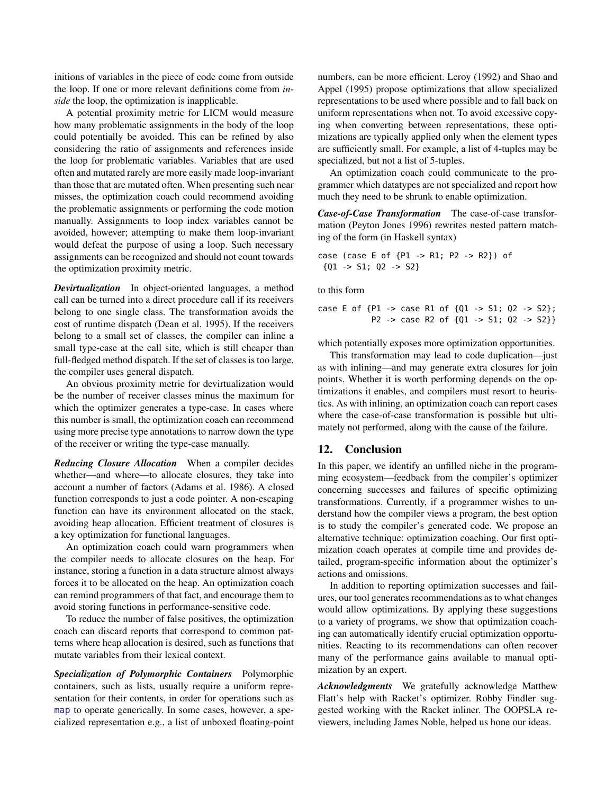initions of variables in the piece of code come from outside the loop. If one or more relevant definitions come from *inside* the loop, the optimization is inapplicable.

A potential proximity metric for LICM would measure how many problematic assignments in the body of the loop could potentially be avoided. This can be refined by also considering the ratio of assignments and references inside the loop for problematic variables. Variables that are used often and mutated rarely are more easily made loop-invariant than those that are mutated often. When presenting such near misses, the optimization coach could recommend avoiding the problematic assignments or performing the code motion manually. Assignments to loop index variables cannot be avoided, however; attempting to make them loop-invariant would defeat the purpose of using a loop. Such necessary assignments can be recognized and should not count towards the optimization proximity metric.

*Devirtualization* In object-oriented languages, a method call can be turned into a direct procedure call if its receivers belong to one single class. The transformation avoids the cost of runtime dispatch (Dean et al. 1995). If the receivers belong to a small set of classes, the compiler can inline a small type-case at the call site, which is still cheaper than full-fledged method dispatch. If the set of classes is too large, the compiler uses general dispatch.

An obvious proximity metric for devirtualization would be the number of receiver classes minus the maximum for which the optimizer generates a type-case. In cases where this number is small, the optimization coach can recommend using more precise type annotations to narrow down the type of the receiver or writing the type-case manually.

*Reducing Closure Allocation* When a compiler decides whether—and where—to allocate closures, they take into account a number of factors (Adams et al. 1986). A closed function corresponds to just a code pointer. A non-escaping function can have its environment allocated on the stack, avoiding heap allocation. Efficient treatment of closures is a key optimization for functional languages.

An optimization coach could warn programmers when the compiler needs to allocate closures on the heap. For instance, storing a function in a data structure almost always forces it to be allocated on the heap. An optimization coach can remind programmers of that fact, and encourage them to avoid storing functions in performance-sensitive code.

To reduce the number of false positives, the optimization coach can discard reports that correspond to common patterns where heap allocation is desired, such as functions that mutate variables from their lexical context.

*Specialization of Polymorphic Containers* Polymorphic containers, such as lists, usually require a uniform representation for their contents, in order for operations such as map to operate generically. In some cases, however, a specialized representation e.g., a list of unboxed floating-point numbers, can be more efficient. Leroy (1992) and Shao and Appel (1995) propose optimizations that allow specialized representations to be used where possible and to fall back on uniform representations when not. To avoid excessive copying when converting between representations, these optimizations are typically applied only when the element types are sufficiently small. For example, a list of 4-tuples may be specialized, but not a list of 5-tuples.

An optimization coach could communicate to the programmer which datatypes are not specialized and report how much they need to be shrunk to enable optimization.

*Case-of-Case Transformation* The case-of-case transformation (Peyton Jones 1996) rewrites nested pattern matching of the form (in Haskell syntax)

case (case E of {P1 -> R1; P2 -> R2}) of {Q1 -> S1; Q2 -> S2}

to this form

case E of {P1 -> case R1 of {Q1 -> S1; Q2 -> S2}; P2 -> case R2 of {Q1 -> S1; Q2 -> S2}}

which potentially exposes more optimization opportunities.

This transformation may lead to code duplication—just as with inlining—and may generate extra closures for join points. Whether it is worth performing depends on the optimizations it enables, and compilers must resort to heuristics. As with inlining, an optimization coach can report cases where the case-of-case transformation is possible but ultimately not performed, along with the cause of the failure.

#### 12. Conclusion

In this paper, we identify an unfilled niche in the programming ecosystem—feedback from the compiler's optimizer concerning successes and failures of specific optimizing transformations. Currently, if a programmer wishes to understand how the compiler views a program, the best option is to study the compiler's generated code. We propose an alternative technique: optimization coaching. Our first optimization coach operates at compile time and provides detailed, program-specific information about the optimizer's actions and omissions.

In addition to reporting optimization successes and failures, our tool generates recommendations as to what changes would allow optimizations. By applying these suggestions to a variety of programs, we show that optimization coaching can automatically identify crucial optimization opportunities. Reacting to its recommendations can often recover many of the performance gains available to manual optimization by an expert.

*Acknowledgments* We gratefully acknowledge Matthew Flatt's help with Racket's optimizer. Robby Findler suggested working with the Racket inliner. The OOPSLA reviewers, including James Noble, helped us hone our ideas.